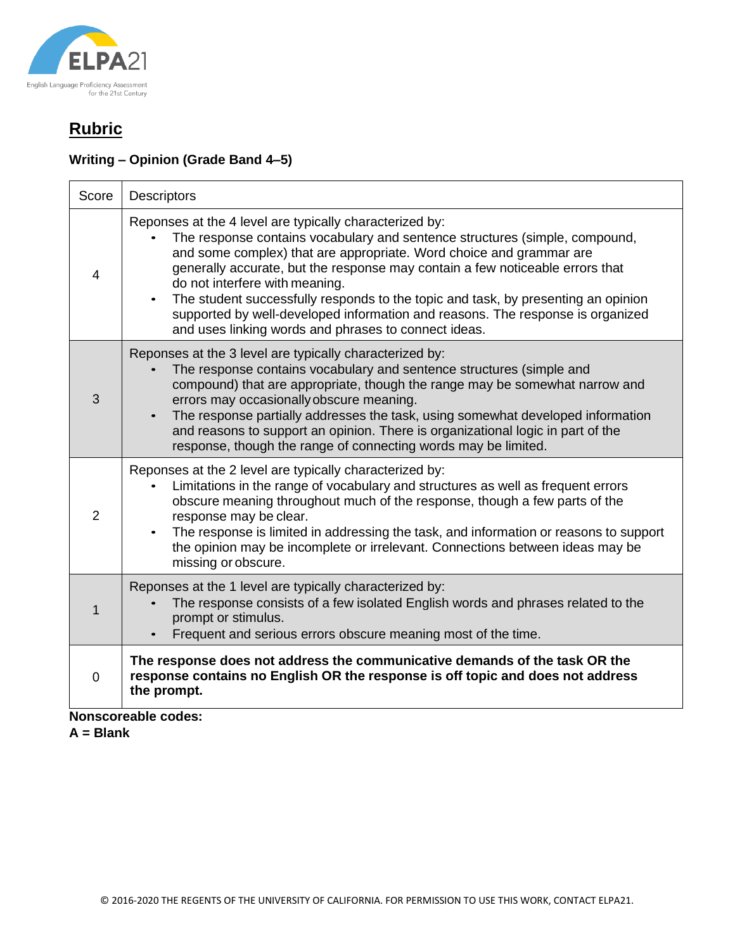

## **Rubric**

### **Writing – Opinion (Grade Band 4–5)**

| Score                      | <b>Descriptors</b>                                                                                                                                                                                                                                                                                                                                                                                                                                                                                                                                                           |  |
|----------------------------|------------------------------------------------------------------------------------------------------------------------------------------------------------------------------------------------------------------------------------------------------------------------------------------------------------------------------------------------------------------------------------------------------------------------------------------------------------------------------------------------------------------------------------------------------------------------------|--|
| $\overline{4}$             | Reponses at the 4 level are typically characterized by:<br>The response contains vocabulary and sentence structures (simple, compound,<br>and some complex) that are appropriate. Word choice and grammar are<br>generally accurate, but the response may contain a few noticeable errors that<br>do not interfere with meaning.<br>The student successfully responds to the topic and task, by presenting an opinion<br>$\bullet$<br>supported by well-developed information and reasons. The response is organized<br>and uses linking words and phrases to connect ideas. |  |
| 3                          | Reponses at the 3 level are typically characterized by:<br>The response contains vocabulary and sentence structures (simple and<br>compound) that are appropriate, though the range may be somewhat narrow and<br>errors may occasionally obscure meaning.<br>The response partially addresses the task, using somewhat developed information<br>$\bullet$<br>and reasons to support an opinion. There is organizational logic in part of the<br>response, though the range of connecting words may be limited.                                                              |  |
| $\overline{2}$             | Reponses at the 2 level are typically characterized by:<br>Limitations in the range of vocabulary and structures as well as frequent errors<br>obscure meaning throughout much of the response, though a few parts of the<br>response may be clear.<br>The response is limited in addressing the task, and information or reasons to support<br>$\bullet$<br>the opinion may be incomplete or irrelevant. Connections between ideas may be<br>missing or obscure.                                                                                                            |  |
| 1                          | Reponses at the 1 level are typically characterized by:<br>The response consists of a few isolated English words and phrases related to the<br>prompt or stimulus.<br>Frequent and serious errors obscure meaning most of the time.<br>$\bullet$                                                                                                                                                                                                                                                                                                                             |  |
| $\overline{0}$             | The response does not address the communicative demands of the task OR the<br>response contains no English OR the response is off topic and does not address<br>the prompt.                                                                                                                                                                                                                                                                                                                                                                                                  |  |
| <b>Nonscoreable codes:</b> |                                                                                                                                                                                                                                                                                                                                                                                                                                                                                                                                                                              |  |

**A = Blank**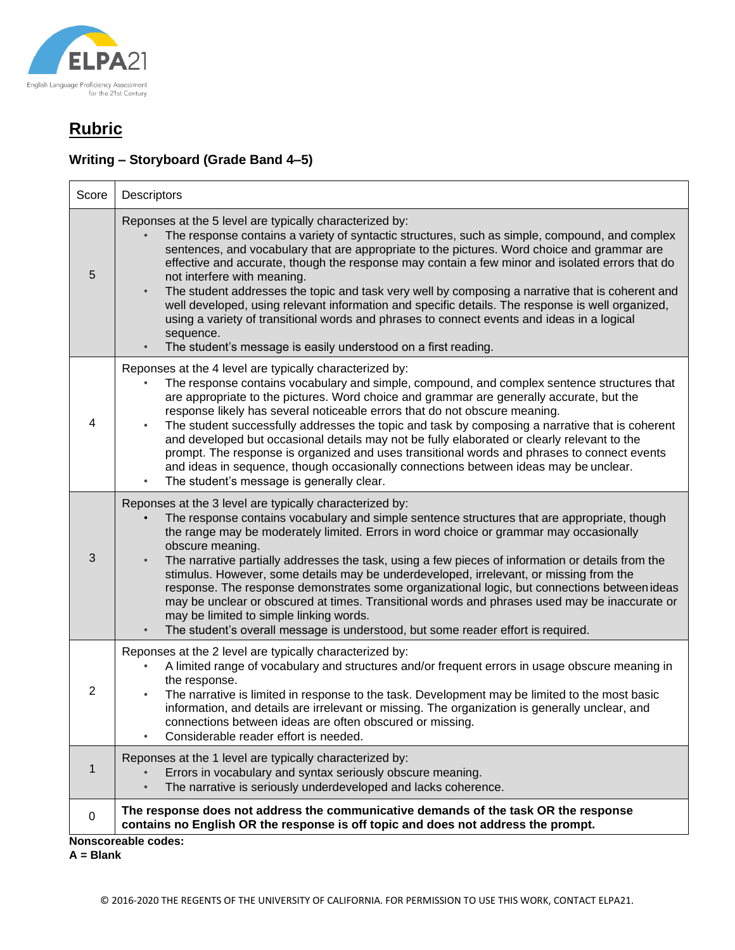

# **Rubric**

### **Writing – Storyboard (Grade Band 4–5)**

| Score          | Descriptors                                                                                                                                                                                                                                                                                                                                                                                                                                                                                                                                                                                                                                                                                                                                                                                               |
|----------------|-----------------------------------------------------------------------------------------------------------------------------------------------------------------------------------------------------------------------------------------------------------------------------------------------------------------------------------------------------------------------------------------------------------------------------------------------------------------------------------------------------------------------------------------------------------------------------------------------------------------------------------------------------------------------------------------------------------------------------------------------------------------------------------------------------------|
| 5              | Reponses at the 5 level are typically characterized by:<br>The response contains a variety of syntactic structures, such as simple, compound, and complex<br>sentences, and vocabulary that are appropriate to the pictures. Word choice and grammar are<br>effective and accurate, though the response may contain a few minor and isolated errors that do<br>not interfere with meaning.<br>The student addresses the topic and task very well by composing a narrative that is coherent and<br>$\bullet$<br>well developed, using relevant information and specific details. The response is well organized,<br>using a variety of transitional words and phrases to connect events and ideas in a logical<br>sequence.<br>The student's message is easily understood on a first reading.<br>$\bullet$ |
| 4              | Reponses at the 4 level are typically characterized by:<br>The response contains vocabulary and simple, compound, and complex sentence structures that<br>are appropriate to the pictures. Word choice and grammar are generally accurate, but the<br>response likely has several noticeable errors that do not obscure meaning.<br>The student successfully addresses the topic and task by composing a narrative that is coherent<br>and developed but occasional details may not be fully elaborated or clearly relevant to the<br>prompt. The response is organized and uses transitional words and phrases to connect events<br>and ideas in sequence, though occasionally connections between ideas may be unclear.<br>The student's message is generally clear.<br>$\bullet$                       |
| 3              | Reponses at the 3 level are typically characterized by:<br>The response contains vocabulary and simple sentence structures that are appropriate, though<br>the range may be moderately limited. Errors in word choice or grammar may occasionally<br>obscure meaning.<br>The narrative partially addresses the task, using a few pieces of information or details from the<br>stimulus. However, some details may be underdeveloped, irrelevant, or missing from the<br>response. The response demonstrates some organizational logic, but connections between ideas<br>may be unclear or obscured at times. Transitional words and phrases used may be inaccurate or<br>may be limited to simple linking words.<br>The student's overall message is understood, but some reader effort is required.      |
| $\overline{2}$ | Reponses at the 2 level are typically characterized by:<br>A limited range of vocabulary and structures and/or frequent errors in usage obscure meaning in<br>the response.<br>The narrative is limited in response to the task. Development may be limited to the most basic<br>information, and details are irrelevant or missing. The organization is generally unclear, and<br>connections between ideas are often obscured or missing.<br>Considerable reader effort is needed.                                                                                                                                                                                                                                                                                                                      |
| $\mathbf 1$    | Reponses at the 1 level are typically characterized by:<br>Errors in vocabulary and syntax seriously obscure meaning.<br>The narrative is seriously underdeveloped and lacks coherence.                                                                                                                                                                                                                                                                                                                                                                                                                                                                                                                                                                                                                   |
| 0              | The response does not address the communicative demands of the task OR the response<br>contains no English OR the response is off topic and does not address the prompt.                                                                                                                                                                                                                                                                                                                                                                                                                                                                                                                                                                                                                                  |
|                | Nonscoreable codes:                                                                                                                                                                                                                                                                                                                                                                                                                                                                                                                                                                                                                                                                                                                                                                                       |

**Nonscoreable codes:**

**A = Blank**